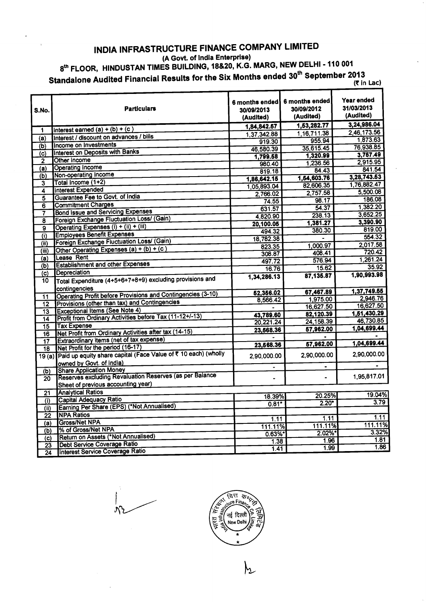## **INDIA INFRASTRUCTURE FINANCE COMPANY LIMITED**

**(A Govt. of India Enterprise)** 

**8th FLOOR, HINDUSTAN TIMES BUILDING, 18&20, K.G. MARG, NEW DELHI - 110 <sup>001</sup>**

**Standalone Audited Financial Results for the Six Months ended 30 th September 2013 (T** in Lac)

| S.No.                              | <b>Particulars</b>                                                                        | 6 months ended<br>30/09/2013<br>(Audited) | 6 months ended<br>30/09/2012<br>(Audited)<br>1,53,282.77 | Year ended<br>31/03/2013<br>(Audited)<br>3,24,986.04 |
|------------------------------------|-------------------------------------------------------------------------------------------|-------------------------------------------|----------------------------------------------------------|------------------------------------------------------|
| 1                                  | Interest earned $(a) + (b) + (c)$                                                         | 1,84,842.57                               |                                                          | 2,46,173.56                                          |
| (a)                                | Interest / discount on advances / bills                                                   | 1.37.342.88                               | 1, 16, 711.38                                            | 1,873.63                                             |
| $\overline{(b)}$                   | Income on Investments                                                                     | 919.30                                    | 955.94<br>35,615.45                                      | 76,938.85                                            |
| (c)                                | Interest on Deposits with Banks                                                           | 46.580.39                                 | 1,320.99                                                 | 3,757.49                                             |
| $\overline{2}$                     | Other Income                                                                              | 1,799.58                                  | 1.236.56                                                 | 2,915.95                                             |
| $\overline{a}$                     | <b>Operating Income</b>                                                                   | 980.40                                    | 84.43                                                    | 841.54                                               |
| (b)                                | Non-operating Income                                                                      | 819.18                                    | 1,54,603.76                                              | 3,28,743.53                                          |
| 3                                  | Total Income (1+2)                                                                        | 1,86,642.15                               | 82,606.35                                                | 1,76,882.47                                          |
| $\overline{4}$                     | <b>Interest Expended</b>                                                                  | 1,05,893.04                               | 2,757.58                                                 | 5,500.08                                             |
| $\overline{\mathbf{5}}$            | Guarantee Fee to Govt. of India                                                           | 2,766.02                                  | 98.17                                                    | 186.08                                               |
| 6                                  | <b>Commitment Charges</b>                                                                 | 74.55                                     | 54.37                                                    | 1,382.20                                             |
| 7                                  | <b>Bond Issue and Servicing Expenses</b>                                                  | 631.57                                    | 238.13                                                   | 3,652.25                                             |
| 8                                  | Foreign Exchange Fluctuation Loss/ (Gain)                                                 | 4,820.90                                  | 1,381.27                                                 | 3,390.90                                             |
| $\overline{\mathsf{g}}$            | Operating Expenses (i) + (ii) + (iii)                                                     | 20,100.05                                 | 380.30                                                   | 819.00                                               |
| $\overline{(\mathfrak{i})}$        | <b>Employees Benefit Expenses</b>                                                         | 494.32                                    |                                                          | 554.32                                               |
| $\overline{(\mathsf{ii})}$         | Foreign Exchange Fluctuation Loss/ (Gain)                                                 | 18,782.38                                 |                                                          | 2,017.58                                             |
| $\overline{\text{(iii)}}$          | Other Operating Expenses (a) + (b) + (c)                                                  | 823.35                                    | 1.000.97<br>408.41                                       | 720.42                                               |
| $\overline{(\mathsf{a})}$          | Lease Rent                                                                                | 308.87                                    |                                                          | 1,261.24                                             |
| (b)                                | <b>Establishment and other Expenses</b>                                                   | 497.72                                    | 576.94                                                   | 35.92                                                |
| (c)                                | Depreciation                                                                              | 16.76                                     | 15.62                                                    | 1,90,993.98                                          |
| 10                                 | Total Expenditure (4+5+6+7+8+9) excluding provisions and<br>contingencies                 | 1,34,286.13                               | 87,135.87                                                |                                                      |
|                                    | Operating Profit before Provisions and Contingencies (3-10)                               | 52,356.02                                 | 67,467.89                                                | 1,37,749.55                                          |
| $\overline{11}$<br>$\overline{12}$ | Provisions (other than tax) and Contingencies                                             | 8,566.42                                  | 1,975.00                                                 | 2.946.76                                             |
|                                    | <b>Exceptional Items (See Note 4)</b>                                                     |                                           | 16,627.50                                                | 16,627.50                                            |
| 13                                 | Profit from Ordinary Activities before Tax (11-12+/-13)                                   | 43,789.60                                 | 82,120.39                                                | 1,51,430.29                                          |
| 14                                 | <b>Tax Expense</b>                                                                        | 20,221.24                                 | 24,158.39                                                | 46,730.85                                            |
| 15                                 | Net Profit from Ordinary Activities after tax (14-15)                                     | 23,568.36                                 | 57,962.00                                                | 1,04,699.44                                          |
| 16                                 | Extraordinary items (net of tax expense)                                                  |                                           |                                                          |                                                      |
| $\overline{17}$<br>18              | Net Profit for the period (16-17)                                                         | 23,568.36                                 | 57,962.00                                                | 1,04,699.44                                          |
|                                    | 19 (a) Paid up equity share capital (Face Value of ₹ 10 each) (wholly                     | 2,90,000.00                               | 2,90,000.00                                              | 2,90,000.00                                          |
|                                    | owned by Govt. of India)                                                                  |                                           | $\blacksquare$                                           |                                                      |
| (b)                                | <b>Share Application Money</b><br>Reserves excluding Revaluation Reserves (as per Balance |                                           |                                                          | 1,95,817.01                                          |
| 20                                 | Sheet of previous accounting year)                                                        |                                           |                                                          |                                                      |
| 21                                 | <b>Analytical Ratios</b>                                                                  |                                           |                                                          | 19.04%                                               |
| (i)                                | Capital Adequacy Ratio                                                                    | 18.39%                                    | 20.25%                                                   | 3.79                                                 |
| (i)                                | Earning Per Share (EPS) (*Not Annualised)                                                 | $0.81*$                                   | $2.20*$                                                  |                                                      |
| 22                                 | <b>NPA Ratios</b>                                                                         |                                           | 1.11                                                     | 1.11                                                 |
| (a)                                | <b>Gross/Net NPA</b>                                                                      | 1.11                                      | 111.11%                                                  | 111.11%                                              |
| (b)                                | % of Gross/Net NPA                                                                        | 111.11%                                   | $2.02\%$ *                                               | 3.32%                                                |
| (C)                                | Return on Assets (*Not Annualised)                                                        | $0.63\%$ *                                | 1.96                                                     | 1.81                                                 |
| 23                                 | Debt Service Coverage Ratio                                                               | 1.38                                      | 1.99                                                     | 1.86                                                 |
| 24                                 | Interest Service Coverage Ratio                                                           | 1.41                                      |                                                          |                                                      |

नई दिल्ल